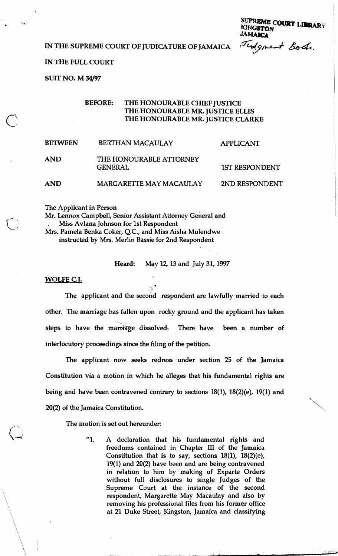<sup>SUFREME</sup> COURT LIBRARY<br> **IN THE SUPREME COURT OF JUDICATURE OF JAMAICA**<br> *IAMAICA*<br> *<sup>T</sup>udgment* Book.

# **IN THE FULL COURT**

**SUIT NO. M** 34/97

# **BEFORE: THE HONOURABLE CHIEF JUSTICE THE HONOURABLE MR. JUSTICE ELLIS THE HONOURABLE MR. JUSTICE CLARKE**

| <b>BETWEEN</b> | <b>BERTHAN MACAULAY</b>                   | <b>APPLICANT</b>      |  |
|----------------|-------------------------------------------|-----------------------|--|
| <b>AND</b>     | THE HONOURABLE ATTORNEY<br><b>GENERAL</b> | <b>1ST RESPONDENT</b> |  |
| <b>AND</b>     | <b>MARGARETTE MAY MACAULAY</b>            | 2ND RESPONDENT        |  |

The Applicant in Person

Mr. Lennox Campbell, Senior Assistant Attorney General and , Miss Avlana Johnson for 1st Respondent Mrs. Pamela Benka Coker, Q.C., and Miss Aisha Mulendwe instructed by Mrs. Merlin Bassie for 2nd Respondent

**Heard:** May 12, 13 and July 31,1997

**WOLFE C.T.** <sup>I</sup>

 $, \, \}$ The applicant and the second respondent are lawfully married to each other. The marriage has fallen upon rocky ground and the applicant has taken steps to have the marriage dissolved. There have been a number of interlocutory proceedings since the filing of the petition.

The applicant now seeks redress under section 25 of the Jamaica Constitution via a motion in which he alleges that his fundamental rights are being and have been contravened contrary to sections 18(1), 18(2)(e), 19(1) and  $20(2)$  of the Jamaica Constitution.

The motion is set out hereunder:

"1. A declaration that his fundamental rights and freedoms contained in Chapter **III** of the Jamaica Constitution that is to say, sections 18(1), 18(2)(e), 19(1) and 20(2) have been and are being contravened in relation to him by making of Exparte Orders without full disclosures to single Judges of the Supreme Court at the instance of the second respondent, Margarette May Macaulay and also by removing his professional files from his former office at 21 Duke Street, Kingston, Jamaica and classifying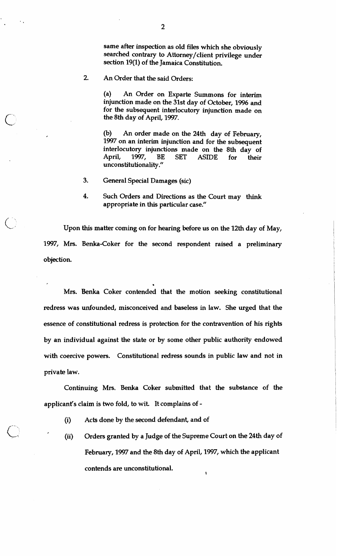same after inspection as old files which she obviously searched contrary to Attorney/client privilege under section 19(1) of the Jamaica Constitution.

2. An Order that the said Orders:

 $\bigcup_{i=1}^n$ 

(a) An Order on Exparte Summons for interim injunction made on the 31st day of October, 1996 and for the subsequent interlocutory injunction made on the 8th day of April, 1997.

(b) An order made on the 24th day of February, 1997 on an interim injunction and for the subsequent interlocutory injunctions made on the 8th day of April, 1997, BE SET ASIDE for their unconstitutionality."

- 3. General Special Damages (sic)
- 4. Such Orders and Directions as the Court may think appropriate in this particular case."

Upon this matter coming on for hearing before us on the 12th day of May, 1997, Mrs. Benka-Coker for the second respondent raised a preliminary objection.

Mrs. Benka Coker contended that the motion seeking constitutional redress was unfounded, misconceived and baseless in law. She urged that the essence of constitutional redress is protection for the contravention of his rights by an individual against the state or by some other public authority endowed with coercive powers. Constitutional redress sounds in public law and not in private law.

Continuing Mrs. Benka Coker submitted that the substance of the applicant's claim is two fold, to wit. It complains of -

- (i) Acts done by the second defendant, and of
- (ii) Orders granted by a Judge of the Supreme Court on the 24th day of February, 1997 and the 8th day of April, 1997, which the applicant contends are unconstitutional.  $\ddot{\phantom{0}}$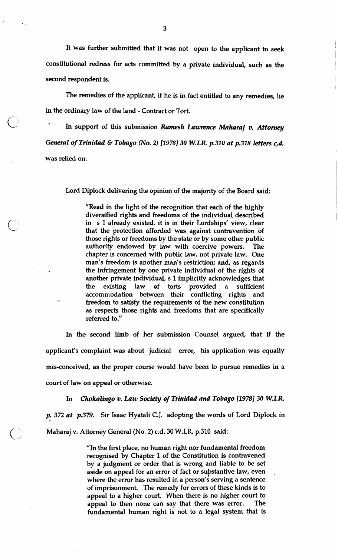It was further submitted that it was not open to the applicant to seek constitutional redress for acts committed by a private individual, such as the second respondent is.

The remedies of the applicant, if he is in fact entitled to any remedies, lie in the ordinary law of the land - Contract or Tort.

In support of this submission *Ramesh Lawrence Maharaj v. Attorney General of Trinidad & Tobago (No. 2) [1978] 30 W.I.R. p.310 at p.318 letters c,d.* was relied on.

Lord Diplock delivering the opinion of the majority of the Board said:

 $\bigcirc$ 

"Read in the light of the recognition that each of the highly diversified rights and freedoms of the individual described in s 1 already existed, it is in their Lordships' view, clear that the protection afforded was against contravention of those rights or freedoms by the state or by some other public authority endowed by law with coercive powers. The chapter is concerned with public law, not private law. One man's freedom is another man's restriction; and, as regards the infringement by one private individual of the rights of another private individual, s 1 implicitly acknowledges that the existing law of torts provided a sufficient accommodation between their conflicting rights and freedom to satisfy the requirements of the new constitution as respects those rights and freedoms that are specifically referred to."

In the second limb of her submission Counsel argued, that if the applicant's complaint was about judicial error, his application was equally mis-conceived, as the proper course would have been to pursue remedies in a court of law on appeal or otherwise.

In *Chokolingo* **v.** *Law Society of Trinidad and Tobago 119781 30 W.I.R.* 

*p. 372 at p.379.* Sir Isaac Hyatali C.J. adopting the words of Lord Diplock in Maharaj v. Attorney General (No. 2) c.d. 30 W.I.R. p.310 said:

> "In the first place, no human right nor fundamental freedom recognised by Chapter 1 of the Constitution is contravened by a judgment or order that is wrong and liable to be set aside on appeal for an error of fact or substantive law, even where the error has resulted in a person's serving a sentence of imprisonment. The remedy for errors of these kinds is to appeal to a higher court. When there is no higher court to appeal to then none can say that there was error. The fundamental human right is not to a legal system that is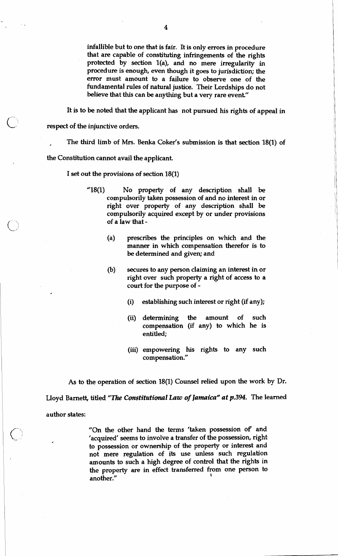infallible but to one that is fair. It is only errors in procedure that are capable of constituting infringements of the rights protected by section 1(a), and no mere irregularity in procedure is enough, even though it goes to jurisdiction; the error must amount to a failure to observe one of the fundamental rules of natural justice. Their Lordships do not believe that this can be anything but a very rare event."

It is to be noted that the applicant has not pursued his rights of appeal in

respect of the injunctive orders.

The third limb of Mrs. Benka Coker's submission is that section 18(1) of

the Constitution cannot avail the applicant

I set out the provisions of section 18(1)

- "18(1) No property of any description shall be compulsorily taken possession of and no interest in or right over property of any description shall be compulsorily acquired except by or under provisions of a law that -
	- (a) prescribes the principles on which and the manner in which compensation therefor is to be determined and given; and
	- (b) secures to any person claiming an interest in or right over such property a right of access to a court for the purpose of -
		- (i) establishing such interest or right (if any);
		- (ii) determining the amount of such compensation (if any) to which he is entitled;
		- (iii) empowering his rights to any such compensation."

As to the operation of section 18(1) Counsel relied upon the work by Dr.

Lloyd Barnett, titled "The *Constitutional Law of Jamaica" at p.394.* The learned

author states:

 $\bigcirc$ 

"On the other hand the terms 'taken possession of and 'acquired' seems to involve a transfer of the possession, right to possession or ownership of the property or interest and not mere regulation of its use unless such regulation amounts to such a high degree of control that the rights in the property are in effect transferred from one person to another." **1**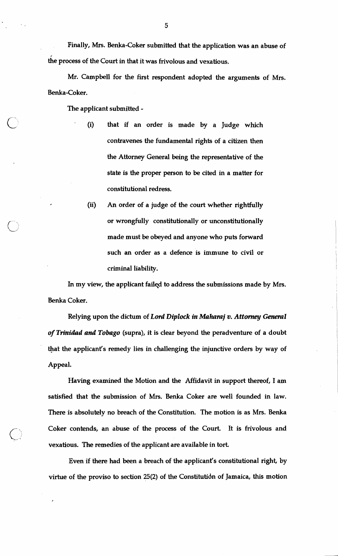Finally, Mrs. Benka-Coker submitted that the application was an abuse of he process of the Court in that it was frivolous and vexatious.

Mr. Campbell for the first respondent adopted the arguments of Mrs. Benka-Coker.

The applicant submitted -

**1** 

- (i) that if an order is made by a Judge which contravenes the fundamental rights of a citizen then the Attorney General being the representative of the state is the proper person to be cited in a matter for constitutional redress.
- (ii) An order of a judge of the court whether rightfully or wrongfully constitutionally or unconstitutionally made must be obeyed and anyone who puts forward such an order as a defence is immune to civil or criminal liability.

In my view, the applicant failed to address the submissions made by Mrs. Benka Coker.

Relying upon the dictum of *Lord Diplock in Mahamj* **v.** *Attmney General of Trinidad and Tobago* (supra), it is clear beyond the peradventure of a doubt that the applicant's remedy lies in challenging the injunctive orders by way of Appeal.

Having examined the Motion and the Affidavit in support thereof, I am satisfied that the submission of Mrs. Benka Coker are well founded in law. There is absolutely no breach of the Constitution. The motion is as Mrs. Benka Coker contends, an abuse of the process of the Court. It is frivolous and vexatious. **The** remedies of the applicant are available in tort

Even if there had been a breach of the applicant's constitutional right, by virtue of the proviso to section 25(2) of the Constitutidn of Jamaica, this motion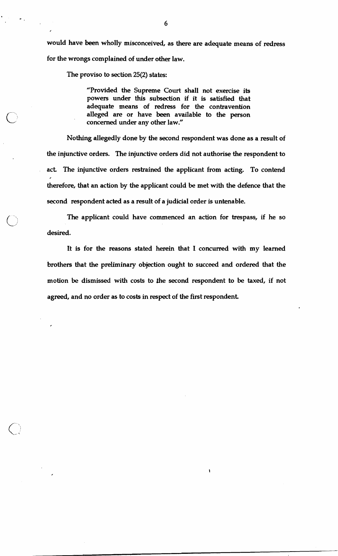would have been wholly misconceived, as there are adequate means of redress for the wrongs complained of under other law.

The proviso to section **25(2)** states:

 $\overline{\phantom{a}}$ 

"Provided the Supreme Court shall not exercise its powers under this subsection if it is satisfied that adequate means of redress for the contravention alleged are or have been available to the person concerned under any other law."

Nothing allegedly done by the second respondent was done as a result of the injunctive orders. The injunctive orders did not authorise the respondent to act The injunctive orders restrained the applicant from acting. To contend therefore, that an action by the applicant could be met with the defence that the second respondent acted as a result of a judicial order is untenable.

The applicant could have commenced an action for trespass, if he so desired.

It is for the reasons stated herein that I concurred with my learned brothers that the preliminary objection ought to succeed and ordered that the motion be dismissed with costs to the second respondent to be taxed, if not agreed, and no order as to costs in respect of the first respondent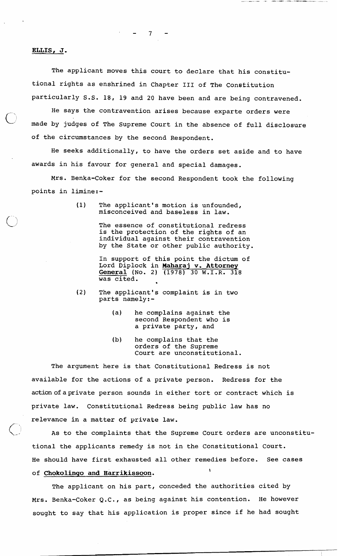## $\overline{7}$

### **ELLIS, J** .

The applicant moves this court to declare that his constitutional rights as enshrined in Chapter 111 of The Constitution particularly S.S. 18, 19 and 20 have been and are being contravened.

He says the contravention arises because exparte orders were made by judges of The Supreme Court in the absence of full disclosure of the circumstances by the second Respondent.

He seeks additionally, to have the orders set aside and to have awards in his favour for general and special damages.

Mrs. Benka-Coker for the second Respondent took the following points in 1imine:-

> (1) The applicant's motion is unfounded, misconceived and baseless in law.

> > The essence of constitutional redress is the protection of the rights of an individual against their contravention by the State or other public authority.

In support of this point the dictum of Lord Diplock in Maharaj v. Attorney General (No. 2) (1978) 30 W.I.R. 318 was cited.

- (2) The applicant's complaint is in two parts namely:-
	- (a) he complains against the second Respondent who is a private party, and
	- (b) he complains that the orders of the Supreme Court are unconstitutional.

The argument here is that Constitutional Redress is not available for the actions of a private person. Redress for the action of aprivate person sounds in either tort or contract which is private law. Constitutional Redress being public law has no relevance in a matter of private law.

As to the complaints that the Supreme Court orders are unconstitutional the applicants remedy is not in the Constitutional Court. He should have first exhausted all other remedies before. See cases of **Chokolingo and Harrikissoon.** 

The applicant on his part, conceded the authorities cited by Mrs. Benka-Coker Q.C., as being against his contention. He however sought to say that his application is proper since if he had sought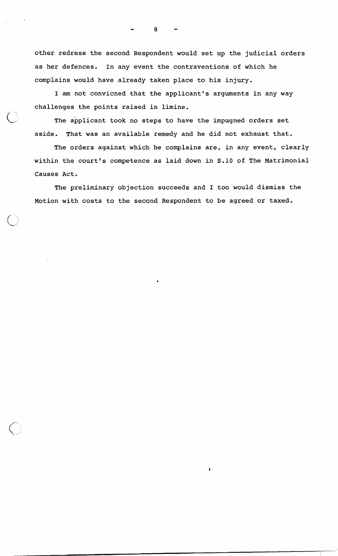other redress the second Respondent would set up the judicial orders as her defences. In any event the contraventions of which he complains would have already taken place to his injury.

I am not convicned that the applicant's arguments in any way challenges the points raised in limine.

The applicant took no steps to have the impugned orders set aside. That was an available remedy and he did not exhaust that.

The orders against which he complains are, in any event, clearly within the court's competence as laid down in S.10 of The Matrimonial Causes Act.

The preliminary objection succeeds and I too would dismiss the Motion with costs to the second Respondent to be agreed or taxed.

8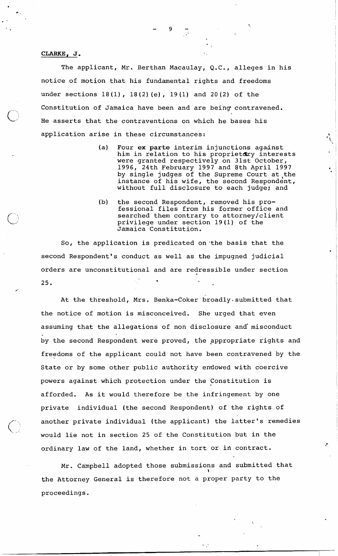### **CLARKE, J** .

 $\bigcap$ 

The applicant, Mr. Berthan Macaulay, Q.C., alleges in his notice of motion that his fundamental rights and freedoms under sections 18(1), 18(2) (e), 19(1) and 20(2) of the Constitution of Jamaica have been and are being contravened. He asserts that the contraventions on which he bases his application arise in these circumstances:

- (a) Four ex parte interim injunctions against him in relation to his proprietdry interests were granted respectively on 31st October, 1996, 24th February 1997 and 8th April 1997 by single judges of the Supreme Court at the instance of his wife, the second Respondent, without full disclosure to each judge; and
- (b) the second Respondent, removed his professional files from his former office and searched them contrary to attorney/client privilege under section 19 (1) of the Jamaica Constitution.

So, the application is predicated on 'the basis that the second Respondent's conduct as well as the impugned judicial orders are unconstitutional and are redressible under section **<sup>1</sup>**  $25.$ 

At the threshold, Mrs. Benka-Coker broadly submitted that the notice of motion is misconceived. She urged that even assuming that the allegations of non disclosure and'misconduct by the second Respondent were proved, the appropriate rights and freedoms of the applicant could not have been contravened by the State or by some other public authority endowed with coercive powers against which protection under the Constitution is afforded. As it would therefore be the infringement by one private individual (the second Respondent) of the rights of another private individual (the applicant) the latter's remedies would lie not in section 25 of the Constitution but in the ordinary law of the land, whether in tort or in contract.

Mr. Campbell adopted those submissions and submitted that \ the Attorney General is therefore not a proper party to the proceedings.

χŅ,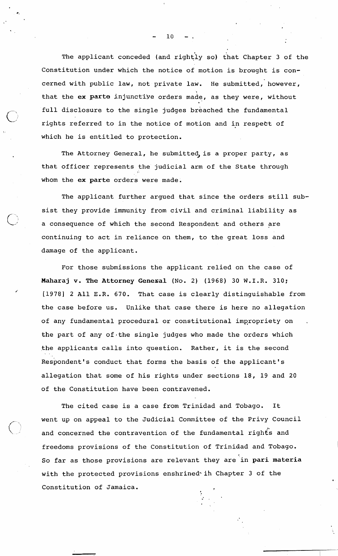The applicant conceded (and rightly so) that Chapter 3 of the Constitution under which the notice of motion is brought is concerned with public law, not private law. He submitted, however, that the ex parte injunctive orders made, as they were, without full disclosure to the single judges breached the fundamental rights referred to in the notice of motion and in respect of which he is entitled to protection.

The Attorney General, he submitted, is a proper party, as that officer represents the judicial arm of the State through whom the **ex parte** orders were made.

The applicant further argued that since the orders still subsist they provide immunity from civil and criminal liability as a consequence of which the second Respondent and others are continuing to act in reliance on them, to the great loss and damage of the applicant.

For those submissions the applicant relied on the case of **Maharaj v. The Attorney Genexal** (No. **2)** (1968) 30 W.I.R. 310; [1978] 2 All E.R. 670. That case is clearly distinguishable from the case before us. Unlike that case there is here no allegation of any fundamental procedural or constitutional impropriety on the part of any of-the single judges who made the orders which the applicants calls into question. Rather, it is the second %. Respondent's conduct that forms the basis of the applicant's allegation that some of his rights under sections 18, 19 and 20 of the Constitution have been contravened.

The cited case is a case from Trinidad and Tobago. It went up on appeal to the Judicial Committee of the Privy Council and concerned the contravention of the fundamental rights and freedoms provisions of the Constitution of Trinidad and Tobago. So far as those provisions are relevant they are in **pari materia**  with the protected provisions enshrined<sup>\*</sup> ih Chapter 3 of the Constitution of Jamaica.

 $10$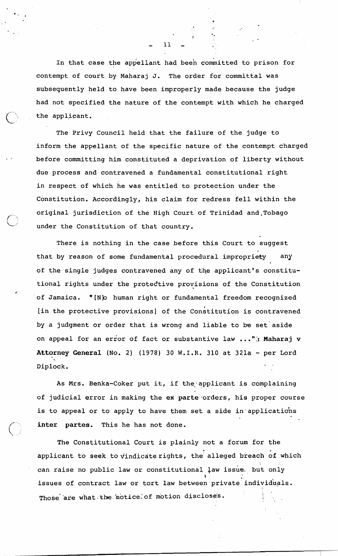In that case the appellant had been committed to prison for contempt of court by Maharaj J. The order for committal was subsequently held to have been improperly made because the judge had not specified the nature of the contempt with which he charged the applicant.

The Privy Council held that the failure of the judge to inform the appellant of the specific nature of the contempt charged before committing him constituted a deprivation of liberty without due process and contravened a fundamental constitutional right in respect of which he was entitled to protection under the Constitution. Accordingly, his claim for redress fell within the original jurisdiction of the High Court of Trinidad and Tobago under the Constitution of that country.

There is nothing in the case before this Court to suggest that by reason of some fundamental procedural impropriety any **I**  of the single judges contravened any of the applicant's constitutional rights under the protedtive provisions of the Constitution of Jamaica. "[N]o human right or fundamental freedom recognized [in the protective provisions] of the Constitution is contravened by a judgment or order that is wrong and liable to **be** set'aside on appeal for an error of fact or substantive law ...": Maharaj v Attorney General (No. 2) (1978) 30 W.I.R. 310 at 321a - per Lord -. Diplock.

**d'** 

As Mrs. Benka-Coker put it, if the applicant is complaining of judicial error in making the ex parte orders, his proper course is to appeal or to apply to have them set a side in applications inter partes. This he has not done.

The Constitutional Court is plainly not a forum for the applicant to seek to vindicate rights, the alleged breach of which can raise no public law or constitutional law issue. but only \ issues of contract law or tort law between private individuals. Those are what the notice of motion disclose's.

 $11$